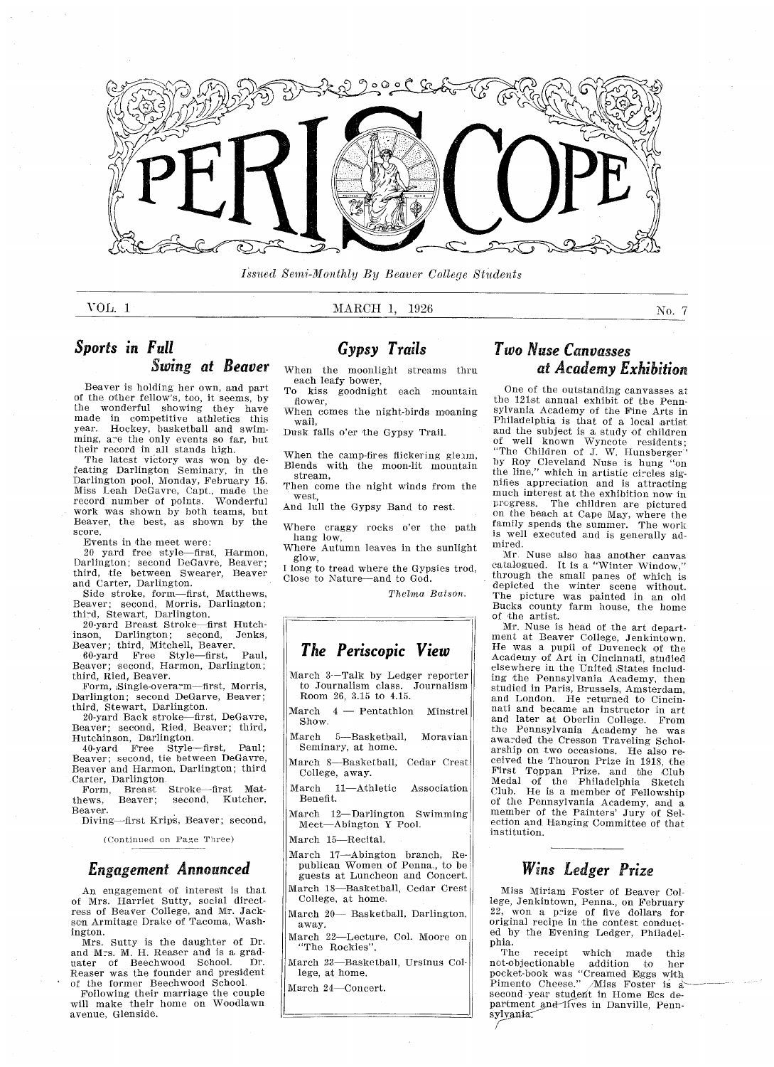

I.sued Semi-Monthly By Beaver College Students

#### VOL. 1 MARCH 1, 1926

No. 7

#### Sports in Full Swing at Beaver

Beaver is holding her own, and part of the other fellow's, too, it seems, by the wonderful showing they have made in competitive athletics this year Hockey basketball and swim ming, are the only events so far, but their record in all stands high.

The latest victory was won by de feating Darlington Seminary, in the Darlington pool, Monday, February 15. Miss Leah DeGavre, Capt., made the record number of points. Wonderfu work was shown by both teams, but Beaver, the best, as shown by the score

Events in the meet were

20 yard free style-first, Harmon, Darlington; second DeGavre, Beaver; third, tie between Swearer, Beaver and Carter, Darlington.

Side stroke, form-first, Matthews, Beaver; second, Morris, Darlington third, Stewart, Darlington

20-yard Breast Stroke-first Hutchinson, Darlington; second, Jenks<br>Beaver; third Mitchell Beaver.<br>60-yard Free Style—first, Paul

60-yard Free Style—first, Paul,<br>Beaver; second, Harmon, Darlington; third, Ried, Beaver.

Form, Single-overarm-first, Morris, Darlington; second DeGarve, Beaver; third, Stewart, Darlington.<br>20-yard Back stroke—first, DeGavre

Beaver; second, Ried, Beaver; third, Hutchinson, Darlington.

10-yard Free Style—first, Paul<br>Beaver; second, tie between DeGavre Beaver and Harmon, Darlington; third Carter, Darlington.<br>Form, Breast

Breast Stroke-first Mat-<br>Beaver; second, Kutcher, thews, Beaver; second, Kutcher, Beaver

Diving-first Krips, Beaver; second,

Continued on Page Three

#### Engagement Announced

An engagement of interest is that of Mrs. Harriet Sutty, social direct-<br>ress of Beaver College, and Mr. Jack son Armitage Drake of Tacoma, Washington

Mrs. Sutty is the daughter of Dr. and Mrs. M. H. Reaser and is a gradand M.S. M. H. Reason and is a grad Reaser was the founder and presiden of the former Beechwood School

Following their marriage the coupl will make their home on Woodlay avenue, Glenside.

#### Gypsy Trails

When the moonlight streams thru each leafy bower

To kiss goodnight each mountain flower,

When comes the night-birds moaning wail

Dusk falls o'er the Gypsy Trail.

When the camp-fires flickering gleam, Blends with the moon-lit mountain stream

Then come the night winds from the

west And lull the Gypsy Band to rest

Where craggy rocks o'er the path hang low,

Where Autumn leaves in the sunlight glow

I long to tread where the Gypsies trod, Close to Nature-and to God.

Thelma Batson.

#### The Periscopic View

March 3--Talk by Ledger reporter to Journalism class. Journalism Room 26, 3.15 to 4.15.

 $March 4$  - Pentathlon Minstrel Show

March 5-Basketball, Moravian Seminary, at home.

March 8-Basketball, Cedar Crest College, away.

- March 11-Athletic Association Benefit
- March 12-Darlington Swimming Meet-Abington Y Pool.

March 15-Recital.

- March 17-Abington branch, Republican Women of Penna., to be guests at Luncheon and Goncert March 18-Basketball, Cedar Crest
- College, at home.
- March 20- Basketball, Darlington, away
- March 22-Lecture, Col. Moore on "The Rockies".
- March 23-Basketball, Ursinus College, at home.

March 24-Concert.

#### Two Nuse Canvasses at Academy Exhibition

One of the outstanding canvasses at the <sup>12</sup> 1st annual exhibit of the Penn sylvania Acadomy of the Fine Arts in Philadelphia is that of a local artist and the subject is a study of children of well known Wyncote resident The Children of J. W. Hunsberge by Roy Cleveland Nuse is hung "on the line," which in artistic circles signifies appreciation and is attracting much interest at the exhibition now in<br>pregress. The children are pictured The children are pictured on the beach at Cape May, where the family spends the summer. The worl is well executed and is generally ad mired

Mr. Nuse also has another canva<br>catalogued. It is a "Winter Window through the small panes of which is depicted the winter scene without. The picture was painted in an old Bucks county farm house, the home of the artist

Mr. Nuse is head of the art department at Beaver College, Jenkintown.<br>He was a pupil of Duveneck of the Academy of Art in Cincinnati, studied elsewhere in the United States includ ing the Pennsylvania Academy, then studied in Paris, Brussels, Amsterdam, and London. He returned to Cincin<br>nati and became an instructor in art and later at Oberlin College. From the Pennsylvania Academy he was awarded the Cresson Traveling Schol arship on two occasions. He also received the Thouron Prize in 1918, the First Toppan Prize, and the Clu Medal of the Philadelphia Sketch Club. He is a member of Fellowship of the Pennsylvania Academy, and a member of the Painters' Jury of Selection and Ranging Committee of that institution

#### Wins Ledger Prize

Miss Miriam Foster of Beaver Col lege, Jenkintown, Penna., on February<br>22, won a prize of five dollars for<br>original recipe in the contest conduct ed by the Evening Ledger, Philadelphia

The receipt which made this not-objectionable addition to her pocket-book was "Creamed Eggs with<br>Pimento Cheese." *A*lliss Foster is : second year student in Home Ecs department and lives in Danville, Pennsylvania.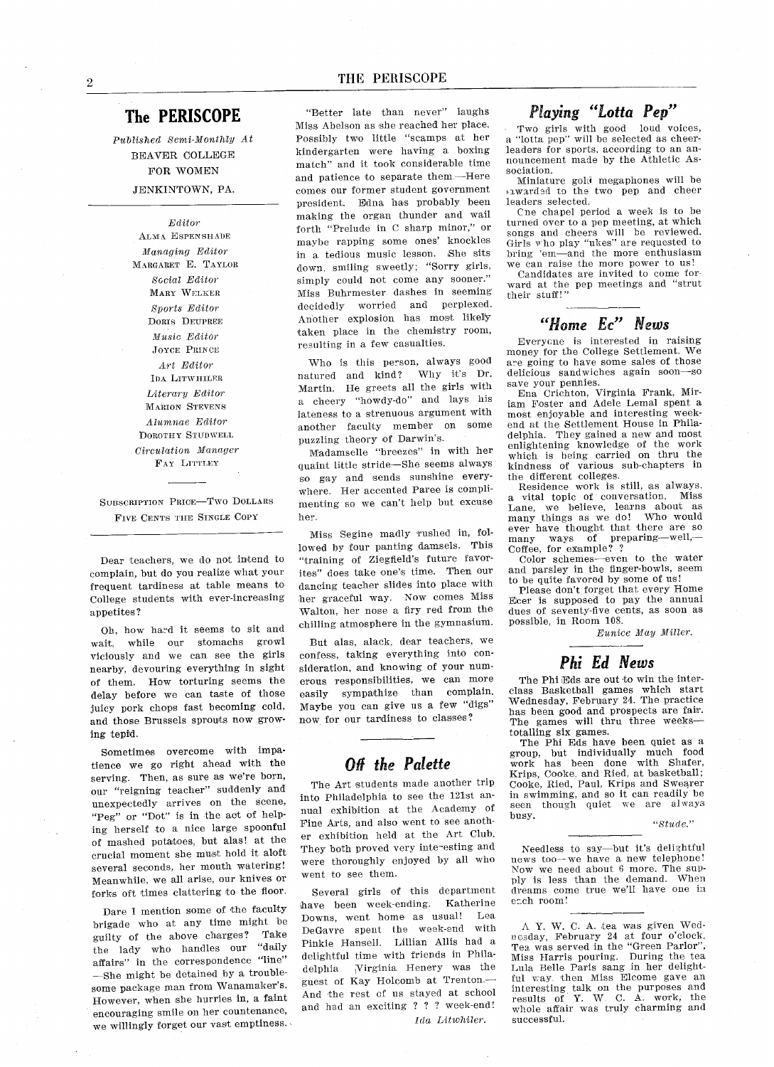#### The PERISCOPE

Published Semi-Monthly At BEAVER COLLEGE FOR WOMEN JENKINTOWN, PA.

> Editor ALMA ESPENSHADE Managing Editor MARGARET E. TAYLOR Social Editor MARY WELKER Sports Editor DORIS DEuPREE Music Editor JOYCE PRINCE Art Editor IDA LITWHILER Literary Editor MARION STEVENS Alumnae Editor DOROTHY STUDWELL Circulation Manager FaY LITTLEY

SUBSCRIPTION PRICE-TWO DOLLARS FIVE CENTs THE SINGLE COPY

Dear teachers, we do not intend to complain, but do you realize what your frequent tardiness at table means to College students with ever-increasing appetites

Oh, how hard it seems to sit and wait, while our stomachs growl Yiciously and we can see the girls nearby, devouring everything in sight of them. How torturing seems the delay before we can taste of those juicy pork chops fast becoming cold and those Brussels sprouts now grow ing tepid

Sometimes overcome with impatience we go right ahead with the serving. Then, as sure as we're born, our "reigning teacher" suddenly and unexpectedly arrives on the scene "Peg" or "Dot" is in the act of helping herself to a nice large spoonful of mashed potatoes, but alas! at the crucial moment she must hold it aloft several seconds, her mouth watering! Meanwhile, we all arise, our knives or forks oft times clattering to the floor.

Dare I mention some of the faculty brigade who at any time might be guilty of the above charges? Take<br>the lady who handles our "daily the lady who handles our affairs" in the correspondence "line" -She might be detained by a troublesome package man from Wanamaker's. However, when she hurries in, a faint encouraging smile on her countenance we willingly forget our vast emptiness.

"Better late than never" laughs Miss Abelson as she reached her place Possibly two little "scamps at her kindergarten were having a boxing match" and it took considerable time and patience to separate them-Here comes our former stndent government president. Edna has probably been making the organ thunder and wail forth "Prelude in C sharp minor," or maybe rapping some ones' knockles in a tedious music lesson. She sits down, smiling sweetly; "Sorry girls, simply could not come any sooner." Miss Buhrmester dashes in seeming decidedly worried and perplexed Another explosion has most likely taken place in the chemistry room resulting in a few casualties.

Who is this person, always good natured and kind? Why it's Dr. Martin. He greets all the girls with a cheery "howdy-do" and lays his lateness to a strenuous argument with another faculty member on some puzzling theory of Darwin's.

Madamselle "breezes" in with her quaint little stride—She seems always so gay and sends sunshine every where. Her accented Paree is complimeating so we cant help but excuse her

Miss Segine madly rushed in, followed by four panting damsels. This "training of Ziegfield's future favorites" does take one's time. Then our dancing teacher slides into place with her graceful way. Now comes Miss Walton, her nose a firy red from the chilling atmosphere in the gymnasium

But alas, alack, dear teachers, we confess, taking everything into consideration, and knowing of your numerous responsibilities, we can more easily sympathize than complain Maybe you can give us a few "digs" now for our tardiness to classes

#### Off the Palette

The Art students made another trip into Philadelphia to see the 121st an nual exhibition at the Academy of Fine Arts, and also went to see another exhibition held at the Art Club They both proved very interesting and were thoroughly enjoyed by all who went to see them

Several girls of this department have been week-ending. Katherine Downs, went home as usual! Lea DeGavre spent the weak-end with Pinkie Hansell. Lillian Allis had a delightful time with friends in Phila delphia Virginia Henery was the guest of Kay Holcomb at Trenton And the rest cf us stayed at school and had an exciting ? ? ? week-end! Ida Litwhiler

#### Playing "Lotta Pep"

Two girls with good loud voices<br>"lotta pep" will be selected as cheer leaders for sports, according to an announcement made by the Athletic As sociation

Miniature gold megaphones will be awardad to the two pep and cheer leaders selected

Cne chapel period a week is to be turned over to a pep meeting, at which songs and cheers will be reviewed. Girls who play "ukes" are requested to bring 'em-and the more enthusiasm we can raise the more power to us

Candidates are invited to come for ward at the pep meetings and "strut their stuff!'

#### "Home Ec" News

Everycne is interested in raising money for the College Settlement. We are going to have some sales of those delicious sandwiches again soon-so save your pennies

ve your pennes.<br>Ena Crichton, Virginia Frank, Mir iam Foster and Adele Lemal spen most enjoyable and interesting week end at the Settlement House in Phila delphia. They gained a new and most enlightening knowledge of the work which is being carried on thru the kindness of various sub-chapters in the different colleges

Residence work is still, as always, vital topic of conversation Miss Lane, we believe, learns about as many things as we do! Who woul ever have thought that there are so many ways of preparing-well,-Coffee, for example? ?

Color schemes-even to the water and parsley in the finger-bowls, seem to be quite favored by some of us

Please don't forget that every Home Ecer is supposed to pay the annual dues of seventy-five cents, as soon as possible, in Room 108.

Eunice May Miller

#### Phi Ed News

The Phi Eds are out to win the interclass Basketball games which star Wednesday, February 24. The practic has been good and prospects are fair The games will thru three weeks totalling six games

The Phi Eds have been quiet as a group, but individually much food work has been done with Shafe Krips, Cooke, and Ried, at basketbal Cooke, Ried, Paul, Krips and Swearer in swimming, and so it can readily be seen though quiet we are always busy

 $"State"$ 

Needless to say—but it's delightful news too-we have a new telephone! Now we need about 6 more. The supply is less than the demand. When dreams come true well have one in each room!

 $\Lambda$  Y. W. C. A. tea was given Wednesday, February 24 at four o'clock. Tea was served in the "Green Parlor" Miss Harris pouring. During the tea Luia Belle Paris sang in her delight ful way then Miss Elcome gave an interesting talk on the purposes and<br>results of Y. W. C. A. work, the whole affair was truly charming and successful.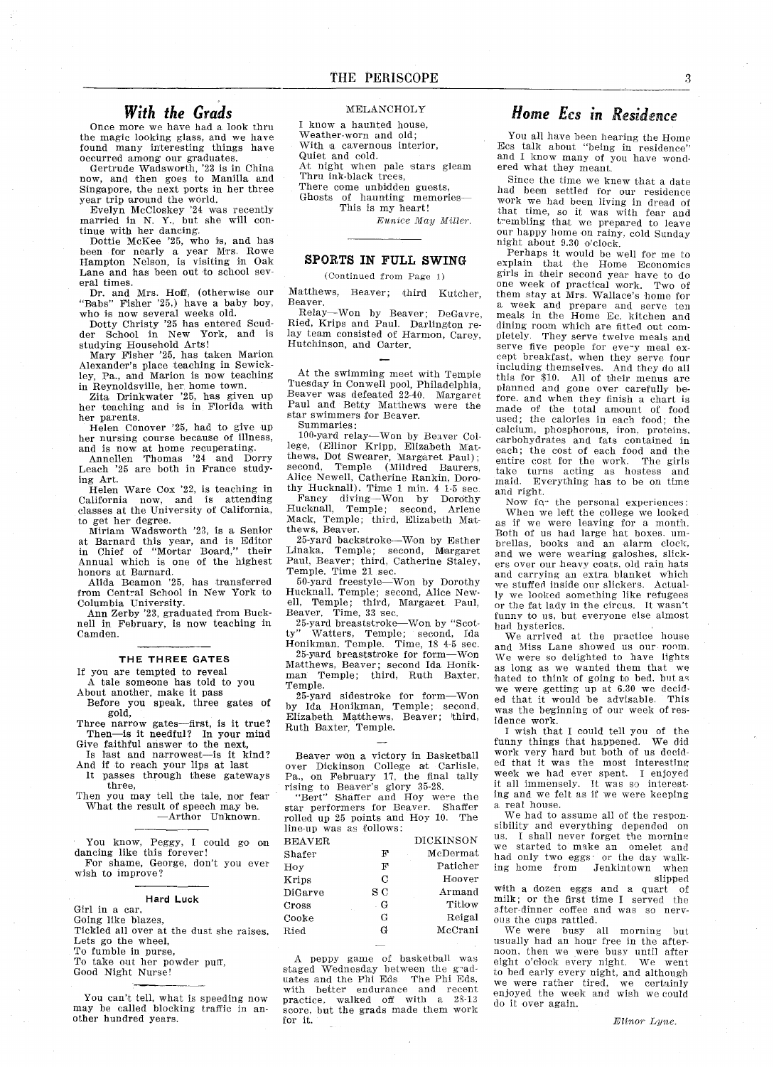#### With the Grads

Once more we have had a look thru the magic looking glass, and we have found many interesting things hav occurred among onr graduates

Gertrude Wadsworth, '23 is in China now, and then goes to Manilla and Singapore, the next ports in her three year trip around the world Evelyn McCloskey 24 was recently

married in N. Y., but she will continue with her dancing.

nue with her dancing.<br>Dottie McKee '25, who is, and has been for nearly a year Mrs. Row Hampton Nelson is visiting in Oak Lane and has been out to school sev eral times

Dr. and Mrs. Hoff, (otherwise our "Babs" Fisher '25,) have a baby boy,<br>"Babs" Fisher '25,) have a baby boy,<br>who is now several weeks old.

Dotty Christy 25 has entered Scud der School in New York and is studying Household Arts!

Mary Fisher '25, has taken Marion Alexander's place teaching in Sewickley, Pa., and Marion is now teaching in Reynoldsville, her home town

Zita Drinkwater '25, has given up her teaching and is in Florida with her parents

Helen Conover '25, had to give up her nursing course because of illness, and is now at home recuperating

Annellen Thomas 24 and Dorry Leach 25 are both in France study ing Art

Helen Ware Cox 22 is teaching in California now, and is attending classes at the University of California to get her degree

Miriam Wadsworth '23, is a Senior at Barnard this year, and is Edito<br>in Chief of "Mortar Board," thei Annual which is one of the highest honors at Barnard

Alida Beamon '25, has transferre from Central School in New York to Columbia Universi

Ann Zerby '23, graduated from Buck nell in February, is now teaching in Camden

#### THE THREE GATES

If you are tempted to reveal

tale someone has told to you About another, make it pass

Before you speak three gates of gold Three narrow gates-first, is it true?

Then—is it needful? In your mind Give faithful answer to the next Is last and narrowest-is it kind?

And if to reach your lips at last It passes through these gateways

three Then you may tell the tale, nor fear What the result of speech may be Arthor Unknown

You know, Peggy, I could go on<br>dancing like this forever! For shame, George, don't you ever wish to improve

#### Hard Luck

- Girl in a car,
- Going like blazes
- Tickled all over at the dust she raises Lets go the wheel
- To fumble in purse
- To take out her powder puff,
- Good Night Nurse
- 

You can't tell, what is speeding now may be called blocking traffic in another hundred years.

#### MELANCHOLY

I know a haunted house, Weather-worn and old With a cavernous interior, Quiet and cold

At night when pale stars gleam Thru ink-black trees

There come unbidden guests Ghosts of haunting memories

This is my heart!

Eunice May Miller.

#### SPORTS IN FULL SWING

Continued from Page

Matthews, Beaver; third Kutcher, Beaver.

Relay-Won by Beaver; DeGavre. Ried, Krips and Paul. Darlington relay team consisted of Harmon, Carey, Hutchinson, and Carter.

At the swimming meet with Temple Tuesday in Conwell pool, Philadelphia, Beaver was defeated 22-40. Margaret Paul and Betty Matthews were the star swimmers for Beaver

Summaries

100-yard relay-Won by Beaver College, (Ellinor Kripp, Elizabeth Mat thews, Dot Swearer, Margaret Paul);<br>second, Temple (Mildred Baurers Alice Newell, Catherine Rankin, Dorothy Hucknall). Time  $1$  min.  $4$   $1-5$  sec. Fancy diving—Won by Dorothy Hucknall, Temple; second, Arlene Mack, Temple; third, Elizabeth Mat-

thews, Beaver. 25-yard backstroke-Won by Esther Linaka, Temple; second, Margare<br>Paul Beaver; third, Catherine Staley Temple. Time 21 sec

50-yard freestyle-Won by Doroth Hucknall, Temple; second, Alice Newell, Temple; third, Margaret Paul,

Beaver. Time, 33 sec.<br>25-yard breaststroke—Won by "Scot<br>ty" Watters, Temple; second, Ida ty" Watters, Temple; second, Ida<br>Honikman Temple. Time, 18 4-5 sec.

25-yard breaststroke for form-Won Matthews, Beaver; second Ida Honikman Temple; third, Ruth Baxter, Temple

....<br>25-yard sidestroke for form—Wo by Ida Honikman, Temple; second<br>Elizabeth Matthews, Beaver; third Ruth Baxter, Temple.

Beaver won a victory in Basketball over Dickinson College at Carlisle<br>Pa., on February 17, the final tally

rising to Beaver's glory 35-28.<br>"Bert" Shaffer and Hoy were the star performers for Beaver. Shafter rolled up 25 points and Hoy 10. The line-up was as fellows

| <b>BEAVER</b> |     | <b>DICKINSON</b> |
|---------------|-----|------------------|
| Shafer        | F   | McDermat         |
| Hoy           | F   | Paticher         |
| Krips         | С   | Hoover           |
| DiGarve       | s c | Armand           |
| Cross         | . G | Titlow           |
| Cooke         | G   | Reigal           |
| Ried          | G   | McCrani          |
|               |     |                  |

peppy game of basketball was staged Wednesday between the g-ad uates and the Phi Eds. The Phi Eds,<br>with hetter endurance and recent better endurance and recent practice, walked off with a  $28-12$ score, but the grads made them work for it

#### Home Ecs in Residence

You all have been hearing the Home Ecs talk about "being in residence" and I know many of you have wondered what they meant.

Since the time we knew that a date bad been settled for our residence work we had been living in dread of  $\frac{1}{100}$  that time, so it was with fear and trembling that we prepared to leav our happy home on rainy, cold Sunday night about 9.30 o'clock.

Perhaps it would be well for me to explain that the Home Economics girls in their second year have to do one week of practical work Two of them stay at Mrs. Wallace's home for week and prepare and serve ten meals in the Home Ec kitchen and dining room which are fitted out com pletely They serve twelve meals and serve five people for every meal exsorte five people for every mean except breakfast, when they serve four including themselves. And they do all this for  $$10$ . All of their menus are planned and gone over carefully be fore, and when they finish a chart is made of the total amount of food used; the calories in each food; the calcium, phosphorous, iron, proteins, carbohydrates and fats contained in each; the cost of each food and the entire cost for the work The girls take turns acting as hostess and maid. Everything has to be on time and right

Now for the personal experiences: When we left the college we looked as if we were leaving for a month. Both of us had large hat boxes. um-<br>brellas, books and an alarm clock, and we were wearing galoshes, slickers ever our heavy coats old rain hats and carrying an extra blanket which we stuffed inside our slickers. Actually we loolced something like refugees or the fat lady in the circus. It wasn't funny to us, but everyone else almost had hysterics

We arrived at the practice house and Miss Lane showed us our room We were so delighted to have lights as long as we wanted them that we hated to think of going to bed, but as we were getting up at 6.30 we decid ed that it would be advisable This was the beginning of our week of residence work

wish that could tell you of the funny things that happened. We did work very hard but both of us decided that it was the most interesting week we had ever spent. I enjoyed it all immensely It was so interest ing and we felt as if we were keeping a real house.

We had to assume all of the respon sibility and everything depended on us. I shall never forget the morning we started to make an omelet and had only two eggs: or the day walking home from Jenkintown when slipped

with a dozen eggs and a quart of milk; or the first time I served the after-dinner coffee and was so nerv ous the cups rattled.

We were busy all morning but usually had an hour free in the after noon, then we were busy until after eight o'clock every night. We went to bed early every night, and although we were rather tired, we certainly enjoyed the week and wish we could do it over again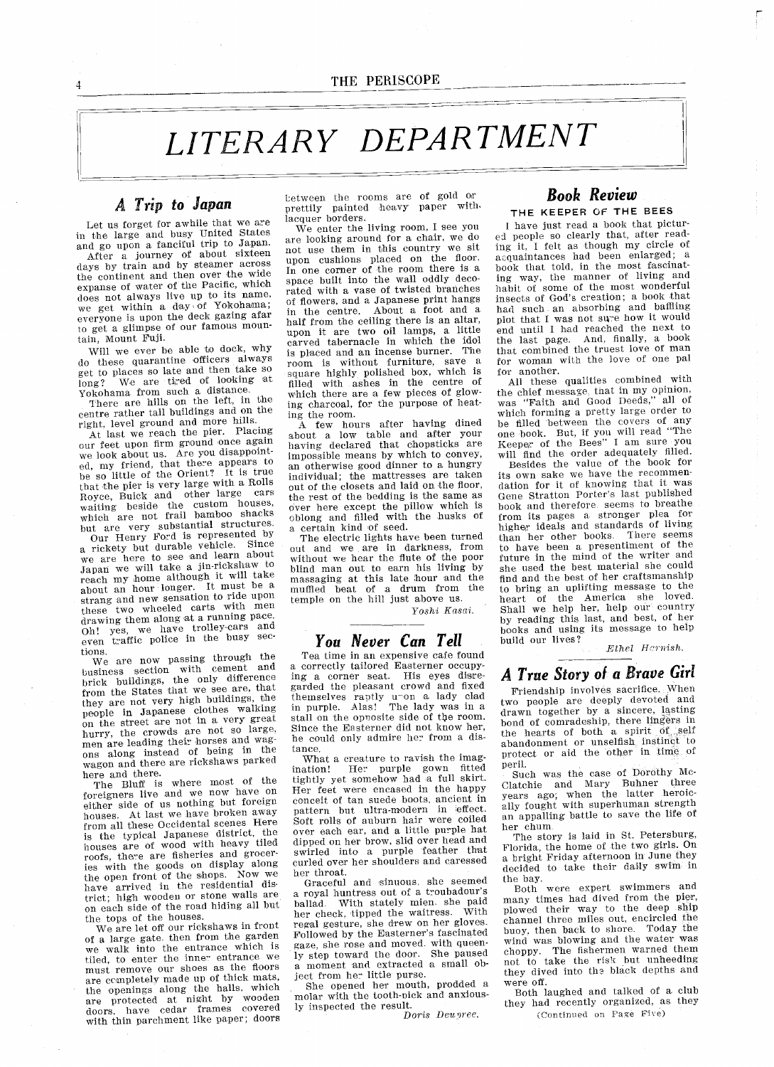# THE PERSONE THE PERSONE TRANSPARTMENT

#### A Trip to Japan

Let us forget for awhile that we are in the large and busy United States and go upon a fanciful trip to Japan After a journey of about sixteen days by train and by steamer across the continent and then over the wide expanse of water of the Pacific, which does not always live up to its name, we get within a day of Yokohama; everyone is upon the deck gazing afar to get a glimpse of our famous mountain, Mount Fuji.

Will we ever be able to dock, why do these quarantine officers always get to places so late and then take so long? We are tired of looking at Yokohama from such a distance.

There are hills on the left, in the centre rather tall buildings and on the right, level ground and more hills.

At last we reach the pier. Placing our feet upon firm ground once again we look about us. Are you disappoint<br>ed, my friend, that there appears to<br>be so little of the Orient? It is true that the pier is very large with a Rolls Royce, Buick and other large cars waiting beside the custom houses which are not frail bamboo shack but are very substantial structures

Our Henry Ford is represented by our Henry Ford is repricte. Since we are here to see and learn about<br>Japan we will take a jin-rickshaw to reach my home although it will take about an hour longer. It must be a strang and new sensation to ride upon these two wheeled carts with men drawing them along at a running pace. Oh! yes, we have trolley-cars and even traffic police in the busy sec tions.

ons.<br>We are now passing through the<br>isiness section with cement and business section with cement and  $\frac{b}{b}$ rick buildings, the only difference from the States that we see are, that they are not very high buildings, the people in Japanese clothes walking on the street are not in a very greater hurry, the crowds are not so large, men are leading their horses and wag ons along instead of being in the wagon and there are rickshaws parked here and there

The Bluff is where most of the foreigners live and we now have on either side of us nothing but foreign houses. At last we have broken away from all these Occidental scenes Here is the typical Japanese district the houses are of wood with heavy tiled roofs, there are fisheries and groceries with the goods on display along the open front of the shops. Now we have arrived in the residential dis-<br>trict; high wooden or stone walls are on each side of the road hiding all but the tops of the houses

We are let off our rickshaws in from of a large gate then from the garde we walk into the entrance which is tiled, to enter the inner entrance w must remove our shoes as the floors are completely made up of thick mats, the openings along the halls, which are protected at night by woode<br>doors, have cedar frames covere with thin parchment like paper; doors

between the rooms are of gold or prettily painted heavy paper with lacquer borders

We enter the living room, I see you are looking around for a chair, we do not use them in this country we sit upon cushions placed on the floor In one corner of the room there is a space built into the wall oddly deco rated with a vase of twisted branches of flowers, and a Japanese print hangs in the centre. About a foot and a half from the ceiling there is an altar upon it are two oil lamps, a little carved tabernacle in which the idol is placed and an incense burner. The room is without furniture, sav square highly polished box, which is<br>filled with ashes in the centre of which there are a few pieces of glow ing charcoal, for the purpose of heating the room

A few hours after having dined about low table and after your having declared that chopsticks are impossible means by which to convey an otherwise good dinner to a hungry individual; the mattresses are taken out of the closets and laid on the floor the rest of the bedding is the same a over here except the pillow which is oblong and filled with the husks of a certain kind of seed.

The electric lights have been turned out and we are in darkness, from without we hear the flute of the poo blind man out to earn his living by massaging at this late hour and the muffled beat of a drum from the<br>temple on the hill just above us.

Yoshi Kasai.

#### You Never Can Tell

Tea time in an expensive cafe found a correctly tailored Easterner occupying a corner seat. His eyes disregarded the pleasant crowd and fixed themselves raptly unon a lady class<br>in purple. Alas! The lady was in stall on the opposite side of the room Since the Easterner did not know her he could only admire her from a distance

What a creature to ravish the imagination! Her purple gown fitted<br>tightly yet somehow had a full skirt Her feet were encased in the happy conceit of tan suede boots, ancient in pattern but ultra-modern in effect Soft rolls of auburn hair were coiled over each ear, and a little purple hat dipped on her brow, slid over head and swirled into a purple feather that curled over her shoulders and caressed her throat

Graceful and sinuous she seemed a royal huntress out of a troubadour's ballad With stately mien she paid her check, tipped the waitress. With regal gesture, she drew on her gloves. Followed by the Easterner's fascinated gaze, she rose and moved, with queenly step toward the door. She paused a moment and extracted a small object from her little purse

She opened her mouth, prodded a molar with the tooth-nick and anxious ly inspected the result

Doris Deunrec

#### Book Review THE KEEPER OF THE BEES

I have just read a book that pictured people so clearly that, after reading it felt as though my circle of acquaintances had been enlarged; a book that told, in the most fascinating way, the manner of living and habit of some of the most wonderful insects of God's creation; a book that had such an absorbing and bafflin<br>plot that I was not sure how it woul end until had reached the next to the last page. And, finally, a book that combined the truest love of man for woman with the love of one pal for another

All these qualities combined wiih the chief message that in my opinion,<br>mag "Foith and Good Deeds." all of was "Faith and Good Deeds," which forming a pretty large order to be filled between the covers of any one book But if you will read The Keeper of the Bees" I am sure you will find the order adequately filled

Besides the value of the book for its own sake we have the recommen dation for it of knowing that it was Gene Stratton Porter's last published book and therefore seems to breathe from its pages a stronger plea for higher ideals and standards of livin than her other books. There seems<br>to have been a presentiment of the future in the mind of the writer and she used the best material she could find and the best of her craftsmanship to bring an uplifting message to the heart of the America she loved Shall we help her, help our country by reading this last, and best, of her books and using its message to help build our lives

Ethel Hernish.

#### A True Story of a Brave Girl

Friendship involves sacrifice When two people are deeply devoted and drawn together by a sincere, lasting<br>bond of comradeship, there lingers in the hearts of both a spirit of self abandonment or unselfish instinct to protect or aid the other in time of peril

Such was the case of Dorothy Mc Clatchie and Mary Buhner three years ago, when the latter heroic ally fought with superhuman strengt an appalling battle to save the life of her chum

The story is laid in St. Petersburg, Florida, the home of the two girls. On a bright Friday afternoon in June they decided to take their daily swim in the bay

Both were expert swimmers and many times had dived from the pier, plowed their way to the deep ship channel three miles out, encircled the buoy, then back to shore. Today the wind was blowing and the water was<br>choppy. The fishermen warned them choppy. The fishermen warned them not to take the risk but unheeding they dived into the black depths and were off

Both laughed and talked of a club they had recently organized, as they Continued on Page Five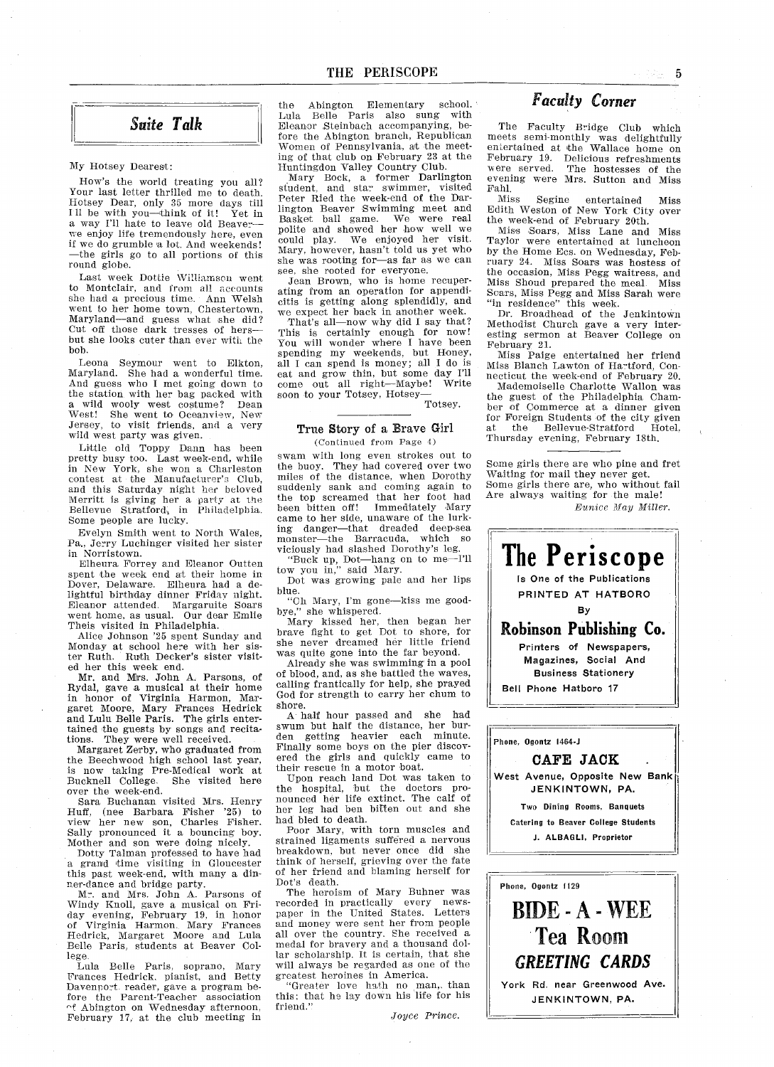#### Suite Talk

#### My Hotsey Dearest

How's the world treating you all? Your last letter thrilled me to death. Hotsey Dear, only 35 more days till Hotsey Dear, only 35 more days till<br>Ill be with you—think of it! Yet in<br>a way I'll hate to leave old Beaver we enjoy life tremendously here, even if we do grumble a lot. And weekends! the girls go to all portions of this round globe

Last week Dottie Williamson went to Montclair, and from all accounts she had a precious time. Ann Welsh went to her home town, Chestertown, went to her home town, chestertown,<br>Maryland—and guess what she did? naryland and guess what she did.<br>Cut off those dark tresses of hers—<br>but she looks cuter than ever with the but she looks cuter than ever with the bob.

Leona Seymour went to Elkton Maryland. She had a wonderful time. And guess who I met going down to the station with her bag packed with wild wooly west costume? Dean West! She went to Oceanview, Nev Jersey, to visit friends, and a very<br>wild west party was given.

Little old Toppy Dann has been pretty busy too. Last week-end, while in New York, she won a Charleston contest at the Manufacturer's Club, and this Saturday night her beloved Merritt is giving her a party at the<br>Bellevue Stratford, in Philadelphia Some people are lucky

Evelyn Smith went to North Wales Pa., Jerry Luchinger visited her sister in Norristown

Elheura Forrey and Eleanor Outten spent the week end at their home in Dover, Delaware. Elheura had a delightful birthday dinner Friday nigh Eleanor attended Margaruite Soars went hnme as usual Our dear Emlie Theis visited in Philadelphia

Alice Johnson 25 spent Sunday and Monday at school here with her sis ter Ruth. Ruth Decker's sister visit ed her this week end

Mr. and Mrs. John A. Parsons, of Rydal, gave a musical at their home in honor of Virginia Harmon Mar garet Moore Mary Frances Redrick and Lulu Belle Paris. The girls entertained the guests by songs and recita  $tions.$  They were well receive

Margaret Zerby, who graduated from the Beechwood high school last year is now taking Pre-Medical work at Bucknell College. She visited her over the week-end

Sara Buchanan visited Mrs. Henry Huff, (nee Barbara Fisher '25) to view her new son, Charles Fisher. Sally pronounced it a bouncing boy. Mother and son were doing nicely

Dotty Talman professed to have had a grand time visiting in Gloucester<br>this past week-end, with many a din

ner-dance and bridge party.<br>Mr. and Mrs. John A. Parsons of Mr. and Mrs. John A. Parsons of<br>Windy Knoll, gave a musical on Fri-<br>day evening, February 19, in honor<br>of Virginia Harmon. Mary Frances Hedrick, Margaret Moore and Lula Belle Paris, students at Beaver College

Lula Belle Paris, soprano, Mary Frances Hedrick, pianist, and Bett; Davenport reader, gave a program before the Parent-Teacher association of Abington on Wednesday afternoon, February 17, at the club meeting in

the Abington Elementary school. Lola Belle Paris also sung with Eleanor Steinbach accompanying, before the Abington branch, Republican Women of Pennsylvania, at the meeting of that club on February 23 at the Huntingdon Valley Country Club

Mary Bock, a former Darlington<br>student, and star swimmer, visite Peter Ried the week-end of the Darlington Beaver Swimming meet and<br>Basket ball game. We were rea polite and showed her how well we could play. We enjoyed her visi Mary, however, hasn't told us yet who she was rooting for-as far as we can see, she rooted for everyone.

Jean Brown, who is home recuperating from an operation for appendi citis is getting along splendidly, and we expect her back in another week

 $\frac{1}{3}$  expect her back in about week. This is certainly enough for now You will wonder where I have been spending my weekends, but Honey, all I can spend is money; all I do is eat and grow thin, but some day I'll come out all right-Maybe! Writ soon to your Totsey, Hotsey-

Totsey

#### True Story of a Brave Girl (Continued from Page 4)

swam with long even strokes out to the buoy. They had covered over two miles of the distance, when Dorothy suddenly sank and coming again to the top screamed that her foot had been bitten off! Immediately Mary came to her side, unaware of the lurk ing danger—that dreaded deep-sea<br>monster—the Barracuda, which so viciously had slashed Dorothys leg ciously had slashed Dorothy's leg.<br>"Buck up, Dot—hang on to me—l'll

"Buck up, Dot—hang"<br>tow you in," said Mary

Dot was growing pale and her lips blue

"Oh Mary, I'm gone-kiss me goodbye," she whispered.

Mary kissed her, then began her<br>brave fight to get Dot to shore, for she never dreamed her little frien was quite gone into the far beyond

Already she was swimming in a pool of blood, and, as she battled the waves, calling frantically for help, she prayed God for strength to carry her chum to shore

half hour passed and she had swum but half the distance her bur den getting heavier each minute Finally some boys on the pier discov ered the girls and quickly came to their rescue in a motor boat.

Upon reach land Dot was taken to the hospital, but the doctors pro nounced her life extinct The calf of her leg had ben bitten out and she had bled to death

Poor Mary, with torn muscles and strained ligaments suffered a nervous breakdown, but never once did she think of herself, grieving over the fate of her friend and blaming herself for Dot's death.

The heroism of Mary Bohner was recorded in practically every news paper in the United States. Letter and money were sent her from people all over the country. She received a medal for bravery and a thousand dollar scholarship. It is certain, that she will always be regarded as one of the greatest heroines in America

"Greater love hath no man, than this; that he lay down his life for his friend."

Joyce Prince

#### Faculty Corner

The Faculty Bridge Club which meets semi-monthly was delightfully entertained at the Wallace home or February 19. Delicious refreshment<br>were served. The hostesses of the were served. The hostesses of the evening were Mrs. Sutton and Miss Fahi

Miss Segine entertained Miss Edith Weston of New York City over the week-end of February 20th

Miss Soars, Miss Lane and Miss Taylor were entertained at luncheon by the Home Ecs. on Wednesday, February 24 Miss Soars was hostess of the occasion, Miss Pegg waitress, and Miss Shoud prepared the meal Miss Scars, Miss Pegg and Miss Sarah wer<br>"in residence" this week.

Dr. Broadhead of the Jenkintown Methodist Church gave a very interesting sermon at Beaver College on February 21.

Miss Paige entertained her friend Miss Blanch Lawton of Hartford, Connecticut the week-end of February 20.

Mademoiselle Charlotte Wallon was the guest of the Philadelphia Chamber of Commerce at a dinner given for Foreign Students of the city given at the Bellevue-Stratford Hotel, Thursday evening, February 18th.

Some girls there are who pine and fret Waiting for mail they never get Some girls there are, who without fai<br>Are always waiting for the male! Eunice May Miller



York Rd. near Greenwood Ave. JENKINTOWN, PA.